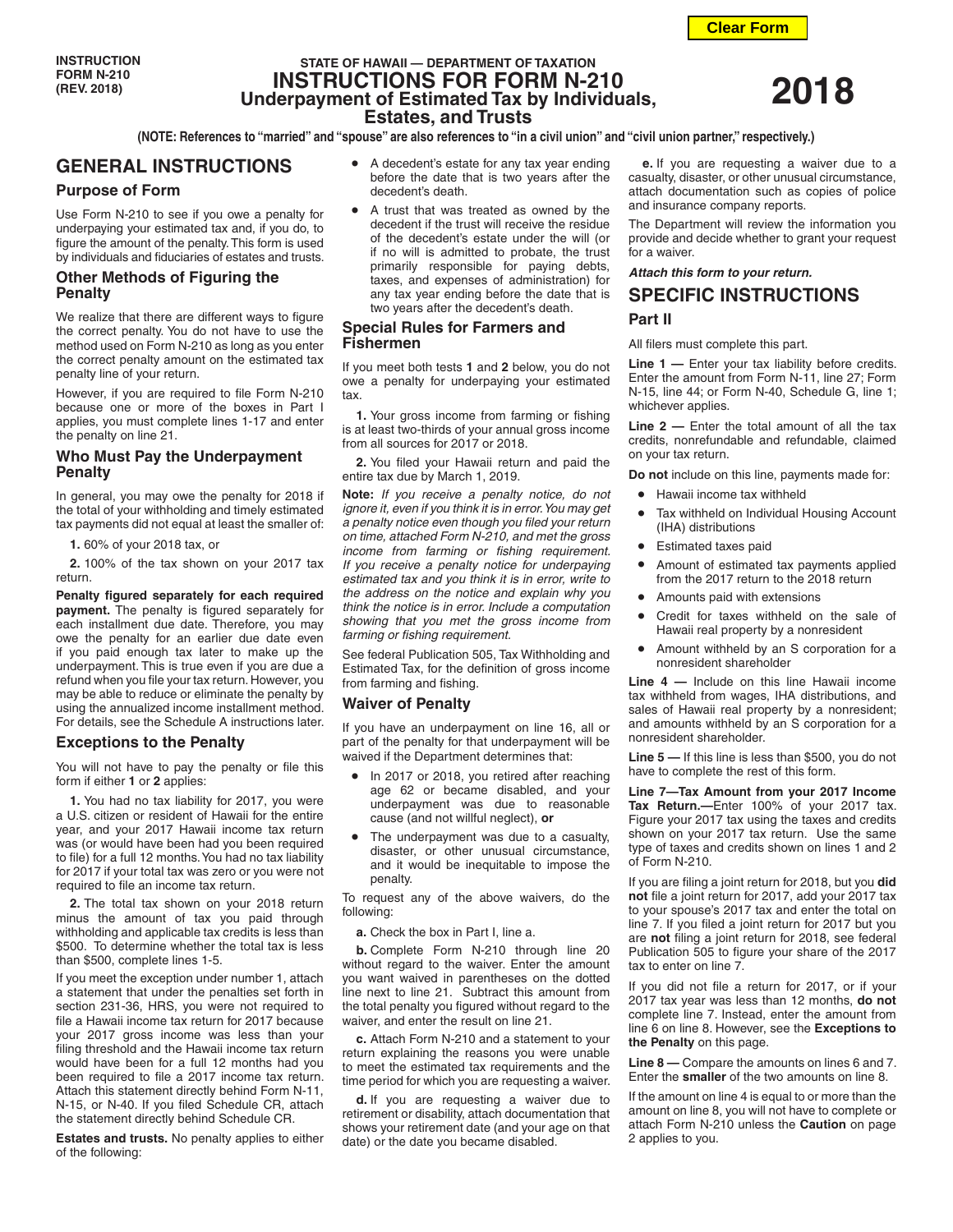# **STATE OF HAWAII — DEPARTMENT OF TAXATION INSTRUCTIONS FOR FORM N-210 Underpayment of Estimated Tax by Individuals, Estates, and Trusts**

**(NOTE: References to "married" and "spouse" are also references to "in a civil union" and "civil union partner," respectively.)**

# **GENERAL INSTRUCTIONS**

## **Purpose of Form**

Use Form N-210 to see if you owe a penalty for underpaying your estimated tax and, if you do, to figure the amount of the penalty. This form is used by individuals and fiduciaries of estates and trusts.

## **Other Methods of Figuring the Penalty**

We realize that there are different ways to figure the correct penalty. You do not have to use the method used on Form N-210 as long as you enter the correct penalty amount on the estimated tax penalty line of your return.

However, if you are required to file Form N-210 because one or more of the boxes in Part I applies, you must complete lines 1-17 and enter the penalty on line 21.

## **Who Must Pay the Underpayment Penalty**

In general, you may owe the penalty for 2018 if the total of your withholding and timely estimated tax payments did not equal at least the smaller of:

**1.** 60% of your 2018 tax, or

**2.** 100% of the tax shown on your 2017 tax return.

**Penalty figured separately for each required payment.** The penalty is figured separately for each installment due date. Therefore, you may owe the penalty for an earlier due date even if you paid enough tax later to make up the underpayment. This is true even if you are due a refund when you file your tax return. However, you may be able to reduce or eliminate the penalty by using the annualized income installment method. For details, see the Schedule A instructions later.

## **Exceptions to the Penalty**

You will not have to pay the penalty or file this form if either **1** or **2** applies:

**1.** You had no tax liability for 2017, you were a U.S. citizen or resident of Hawaii for the entire year, and your 2017 Hawaii income tax return was (or would have been had you been required to file) for a full 12 months. You had no tax liability for 2017 if your total tax was zero or you were not required to file an income tax return.

**2.** The total tax shown on your 2018 return minus the amount of tax you paid through withholding and applicable tax credits is less than \$500. To determine whether the total tax is less than \$500, complete lines 1-5.

If you meet the exception under number 1, attach a statement that under the penalties set forth in section 231-36, HRS, you were not required to file a Hawaii income tax return for 2017 because your 2017 gross income was less than your filing threshold and the Hawaii income tax return would have been for a full 12 months had you been required to file a 2017 income tax return. Attach this statement directly behind Form N-11, N-15, or N-40. If you filed Schedule CR, attach the statement directly behind Schedule CR.

**Estates and trusts.** No penalty applies to either of the following:

- A decedent's estate for any tax year ending before the date that is two years after the decedent's death.
- A trust that was treated as owned by the decedent if the trust will receive the residue of the decedent's estate under the will (or if no will is admitted to probate, the trust primarily responsible for paying debts, taxes, and expenses of administration) for any tax year ending before the date that is two years after the decedent's death.

## **Special Rules for Farmers and Fishermen**

If you meet both tests **1** and **2** below, you do not owe a penalty for underpaying your estimated tax.

**1.** Your gross income from farming or fishing is at least two-thirds of your annual gross income from all sources for 2017 or 2018.

**2.** You filed your Hawaii return and paid the entire tax due by March 1, 2019.

**Note:** *If you receive a penalty notice, do not ignore it, even if you think it is in error. You may get a penalty notice even though you filed your return on time, attached Form N-210, and met the gross income from farming or fishing requirement. If you receive a penalty notice for underpaying estimated tax and you think it is in error, write to the address on the notice and explain why you think the notice is in error. Include a computation showing that you met the gross income from farming or fishing requirement.*

See federal Publication 505, Tax Withholding and Estimated Tax, for the definition of gross income from farming and fishing.

## **Waiver of Penalty**

If you have an underpayment on line 16, all or part of the penalty for that underpayment will be waived if the Department determines that:

- In 2017 or 2018, you retired after reaching age 62 or became disabled, and your underpayment was due to reasonable cause (and not willful neglect), **or**
- The underpayment was due to a casualty, disaster, or other unusual circumstance, and it would be inequitable to impose the penalty.

To request any of the above waivers, do the following:

**a.** Check the box in Part I, line a.

**b.** Complete Form N-210 through line 20 without regard to the waiver. Enter the amount you want waived in parentheses on the dotted line next to line 21. Subtract this amount from the total penalty you figured without regard to the waiver, and enter the result on line 21.

**c.** Attach Form N-210 and a statement to your return explaining the reasons you were unable to meet the estimated tax requirements and the time period for which you are requesting a waiver.

**d.** If you are requesting a waiver due to retirement or disability, attach documentation that shows your retirement date (and your age on that date) or the date you became disabled.

**e.** If you are requesting a waiver due to a casualty, disaster, or other unusual circumstance, attach documentation such as copies of police and insurance company reports.

The Department will review the information you provide and decide whether to grant your request for a waiver.

*Attach this form to your return.*

# **SPECIFIC INSTRUCTIONS Part II**

#### All filers must complete this part.

**Line 1 —** Enter your tax liability before credits. Enter the amount from Form N-11, line 27; Form N-15, line 44; or Form N-40, Schedule G, line 1; whichever applies.

**Line 2 —** Enter the total amount of all the tax credits, nonrefundable and refundable, claimed on your tax return.

**Do not** include on this line, payments made for:

- Hawaii income tax withheld
- Tax withheld on Individual Housing Account (IHA) distributions
- Estimated taxes paid
- Amount of estimated tax payments applied from the 2017 return to the 2018 return
- Amounts paid with extensions
- Credit for taxes withheld on the sale of Hawaii real property by a nonresident
- Amount withheld by an S corporation for a nonresident shareholder

**Line 4 —** Include on this line Hawaii income tax withheld from wages, IHA distributions, and sales of Hawaii real property by a nonresident; and amounts withheld by an S corporation for a nonresident shareholder.

**Line 5 —** If this line is less than \$500, you do not have to complete the rest of this form.

**Line 7—Tax Amount from your 2017 Income Tax Return.—**Enter 100% of your 2017 tax. Figure your 2017 tax using the taxes and credits shown on your 2017 tax return. Use the same type of taxes and credits shown on lines 1 and 2 of Form N-210.

If you are filing a joint return for 2018, but you **did not** file a joint return for 2017, add your 2017 tax to your spouse's 2017 tax and enter the total on line 7. If you filed a joint return for 2017 but you are **not** filing a joint return for 2018, see federal Publication 505 to figure your share of the 2017 tax to enter on line 7.

If you did not file a return for 2017, or if your 2017 tax year was less than 12 months, **do not** complete line 7. Instead, enter the amount from line 6 on line 8. However, see the **Exceptions to the Penalty** on this page.

**Line 8 —** Compare the amounts on lines 6 and 7. Enter the **smaller** of the two amounts on line 8.

If the amount on line 4 is equal to or more than the amount on line 8, you will not have to complete or attach Form N-210 unless the **Caution** on page 2 applies to you.



**2018**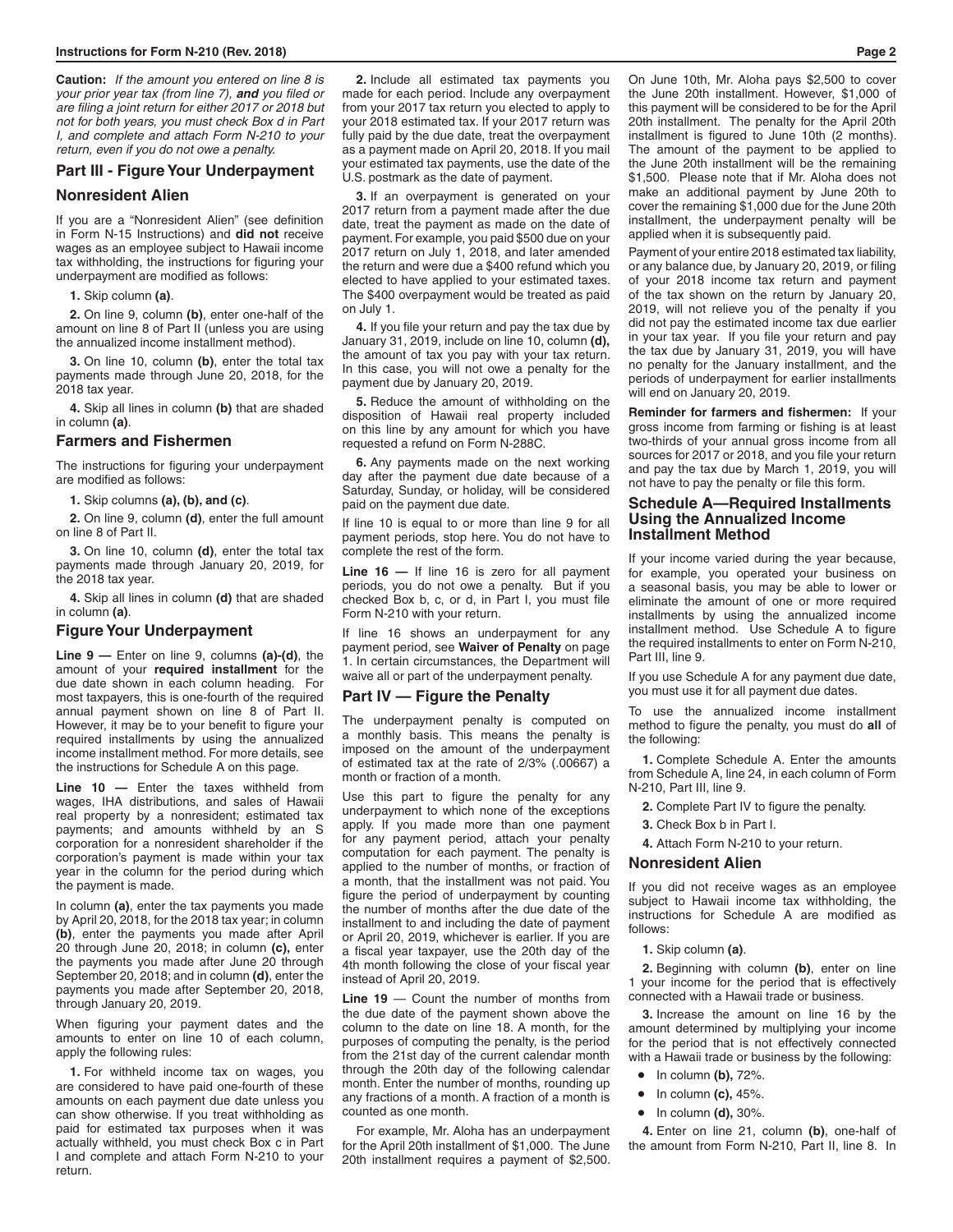**Caution:** *If the amount you entered on line 8 is your prior year tax (from line 7), and you filed or are filing a joint return for either 2017 or 2018 but not for both years, you must check Box d in Part I, and complete and attach Form N-210 to your return, even if you do not owe a penalty.*

### **Part III - Figure Your Underpayment**

#### **Nonresident Alien**

If you are a "Nonresident Alien" (see definition in Form N-15 Instructions) and **did not** receive wages as an employee subject to Hawaii income tax withholding, the instructions for figuring your underpayment are modified as follows:

**1.** Skip column **(a)**.

**2.** On line 9, column **(b)**, enter one-half of the amount on line 8 of Part II (unless you are using the annualized income installment method).

**3.** On line 10, column **(b)**, enter the total tax payments made through June 20, 2018, for the 2018 tax year.

**4.** Skip all lines in column **(b)** that are shaded in column **(a)**.

#### **Farmers and Fishermen**

The instructions for figuring your underpayment are modified as follows:

**1.** Skip columns **(a), (b), and (c)**.

**2.** On line 9, column **(d)**, enter the full amount on line 8 of Part II.

**3.** On line 10, column **(d)**, enter the total tax payments made through January 20, 2019, for the 2018 tax year.

**4.** Skip all lines in column **(d)** that are shaded in column **(a)**.

## **Figure Your Underpayment**

**Line 9 —** Enter on line 9, columns **(a)-(d)**, the amount of your **required installment** for the due date shown in each column heading. For most taxpayers, this is one-fourth of the required annual payment shown on line 8 of Part II. However, it may be to your benefit to figure your required installments by using the annualized income installment method. For more details, see the instructions for Schedule A on this page.

**Line 10 —** Enter the taxes withheld from wages, IHA distributions, and sales of Hawaii real property by a nonresident; estimated tax payments; and amounts withheld by an S corporation for a nonresident shareholder if the corporation's payment is made within your tax year in the column for the period during which the payment is made.

In column **(a)**, enter the tax payments you made by April 20, 2018, for the 2018 tax year; in column **(b)**, enter the payments you made after April 20 through June 20, 2018; in column **(c),** enter the payments you made after June 20 through September 20, 2018; and in column **(d)**, enter the payments you made after September 20, 2018, through January 20, 2019.

When figuring your payment dates and the amounts to enter on line 10 of each column, apply the following rules:

**1.** For withheld income tax on wages, you are considered to have paid one-fourth of these amounts on each payment due date unless you can show otherwise. If you treat withholding as paid for estimated tax purposes when it was actually withheld, you must check Box c in Part I and complete and attach Form N-210 to your return.

**2.** Include all estimated tax payments you made for each period. Include any overpayment from your 2017 tax return you elected to apply to your 2018 estimated tax. If your 2017 return was fully paid by the due date, treat the overpayment as a payment made on April 20, 2018. If you mail your estimated tax payments, use the date of the U.S. postmark as the date of payment.

**3.** If an overpayment is generated on your 2017 return from a payment made after the due date, treat the payment as made on the date of payment. For example, you paid \$500 due on your 2017 return on July 1, 2018, and later amended the return and were due a \$400 refund which you elected to have applied to your estimated taxes. The \$400 overpayment would be treated as paid on July 1.

**4.** If you file your return and pay the tax due by January 31, 2019, include on line 10, column **(d),** the amount of tax you pay with your tax return. In this case, you will not owe a penalty for the payment due by January 20, 2019.

**5.** Reduce the amount of withholding on the disposition of Hawaii real property included on this line by any amount for which you have requested a refund on Form N-288C.

**6.** Any payments made on the next working day after the payment due date because of a Saturday, Sunday, or holiday, will be considered paid on the payment due date.

If line 10 is equal to or more than line 9 for all payment periods, stop here. You do not have to complete the rest of the form.

**Line 16 —** If line 16 is zero for all payment periods, you do not owe a penalty. But if you checked Box b, c, or d, in Part I, you must file Form N-210 with your return.

If line 16 shows an underpayment for any payment period, see **Waiver of Penalty** on page 1. In certain circumstances, the Department will waive all or part of the underpayment penalty.

#### **Part IV — Figure the Penalty**

The underpayment penalty is computed on a monthly basis. This means the penalty is imposed on the amount of the underpayment of estimated tax at the rate of 2/3% (.00667) a month or fraction of a month.

Use this part to figure the penalty for any underpayment to which none of the exceptions apply. If you made more than one payment for any payment period, attach your penalty computation for each payment. The penalty is applied to the number of months, or fraction of a month, that the installment was not paid. You figure the period of underpayment by counting the number of months after the due date of the installment to and including the date of payment or April 20, 2019, whichever is earlier. If you are a fiscal year taxpayer, use the 20th day of the 4th month following the close of your fiscal year instead of April 20, 2019.

**Line 19** — Count the number of months from the due date of the payment shown above the column to the date on line 18. A month, for the purposes of computing the penalty, is the period from the 21st day of the current calendar month through the 20th day of the following calendar month. Enter the number of months, rounding up any fractions of a month. A fraction of a month is counted as one month.

For example, Mr. Aloha has an underpayment for the April 20th installment of \$1,000. The June 20th installment requires a payment of \$2,500. On June 10th, Mr. Aloha pays \$2,500 to cover the June 20th installment. However, \$1,000 of this payment will be considered to be for the April 20th installment. The penalty for the April 20th installment is figured to June 10th (2 months). The amount of the payment to be applied to the June 20th installment will be the remaining \$1,500. Please note that if Mr. Aloha does not make an additional payment by June 20th to cover the remaining \$1,000 due for the June 20th installment, the underpayment penalty will be applied when it is subsequently paid.

Payment of your entire 2018 estimated tax liability, or any balance due, by January 20, 2019, or filing of your 2018 income tax return and payment of the tax shown on the return by January 20, 2019, will not relieve you of the penalty if you did not pay the estimated income tax due earlier in your tax year. If you file your return and pay the tax due by January 31, 2019, you will have no penalty for the January installment, and the periods of underpayment for earlier installments will end on January 20, 2019.

**Reminder for farmers and fishermen:** If your gross income from farming or fishing is at least two-thirds of your annual gross income from all sources for 2017 or 2018, and you file your return and pay the tax due by March 1, 2019, you will not have to pay the penalty or file this form.

#### **Schedule A—Required Installments Using the Annualized Income Installment Method**

If your income varied during the year because, for example, you operated your business on a seasonal basis, you may be able to lower or eliminate the amount of one or more required installments by using the annualized income installment method. Use Schedule A to figure the required installments to enter on Form N-210, Part III, line 9.

If you use Schedule A for any payment due date, you must use it for all payment due dates.

To use the annualized income installment method to figure the penalty, you must do **all** of the following:

**1.** Complete Schedule A. Enter the amounts from Schedule A, line 24, in each column of Form N-210, Part III, line 9.

- **2.** Complete Part IV to figure the penalty.
- **3.** Check Box b in Part I.

**4.** Attach Form N-210 to your return.

## **Nonresident Alien**

If you did not receive wages as an employee subject to Hawaii income tax withholding, the instructions for Schedule A are modified as follows:

**1.** Skip column **(a)**.

**2.** Beginning with column **(b)**, enter on line 1 your income for the period that is effectively connected with a Hawaii trade or business.

**3.** Increase the amount on line 16 by the amount determined by multiplying your income for the period that is not effectively connected with a Hawaii trade or business by the following:

- In column **(b),** 72%.
- In column **(c),** 45%.
- In column **(d),** 30%.

**4.** Enter on line 21, column **(b)**, one-half of the amount from Form N-210, Part II, line 8. In